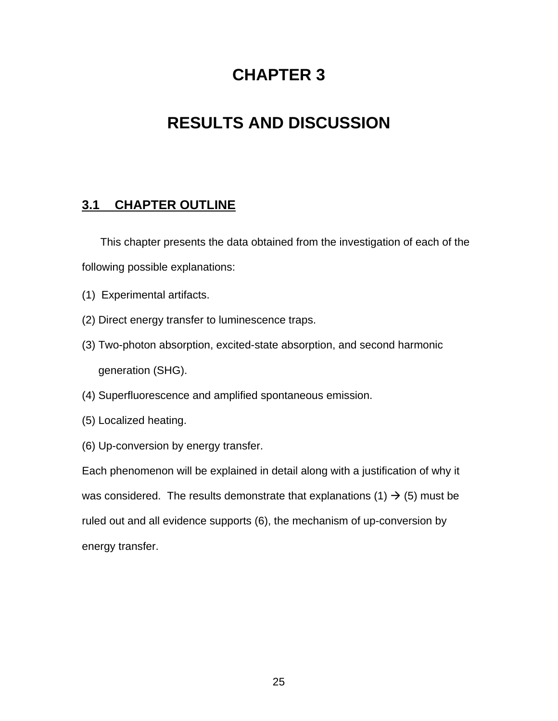# **CHAPTER 3**

# **RESULTS AND DISCUSSION**

## **3.1 CHAPTER OUTLINE**

This chapter presents the data obtained from the investigation of each of the following possible explanations:

- (1) Experimental artifacts.
- (2) Direct energy transfer to luminescence traps.
- (3) Two-photon absorption, excited-state absorption, and second harmonic generation (SHG).
- (4) Superfluorescence and amplified spontaneous emission.
- (5) Localized heating.
- (6) Up-conversion by energy transfer.

Each phenomenon will be explained in detail along with a justification of why it was considered. The results demonstrate that explanations (1)  $\rightarrow$  (5) must be ruled out and all evidence supports (6), the mechanism of up-conversion by energy transfer.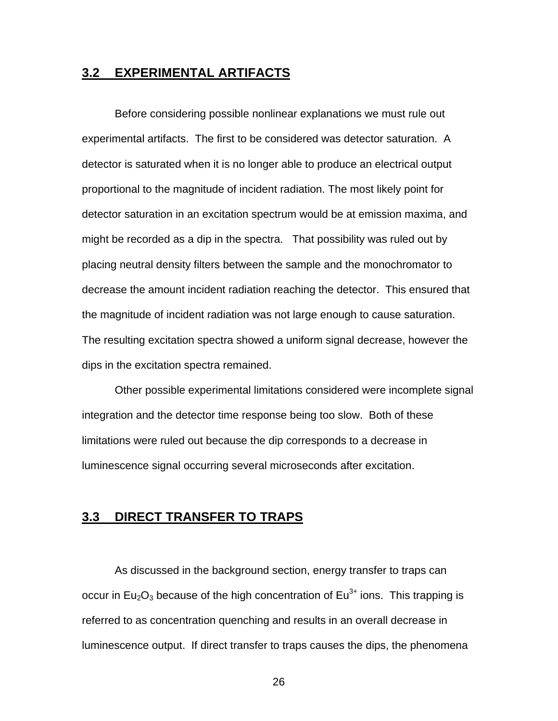#### **3.2 EXPERIMENTAL ARTIFACTS**

Before considering possible nonlinear explanations we must rule out experimental artifacts. The first to be considered was detector saturation. A detector is saturated when it is no longer able to produce an electrical output proportional to the magnitude of incident radiation. The most likely point for detector saturation in an excitation spectrum would be at emission maxima, and might be recorded as a dip in the spectra. That possibility was ruled out by placing neutral density filters between the sample and the monochromator to decrease the amount incident radiation reaching the detector. This ensured that the magnitude of incident radiation was not large enough to cause saturation. The resulting excitation spectra showed a uniform signal decrease, however the dips in the excitation spectra remained.

Other possible experimental limitations considered were incomplete signal integration and the detector time response being too slow. Both of these limitations were ruled out because the dip corresponds to a decrease in luminescence signal occurring several microseconds after excitation.

### **3.3 DIRECT TRANSFER TO TRAPS**

As discussed in the background section, energy transfer to traps can occur in Eu<sub>2</sub>O<sub>3</sub> because of the high concentration of Eu<sup>3+</sup> ions. This trapping is referred to as concentration quenching and results in an overall decrease in luminescence output. If direct transfer to traps causes the dips, the phenomena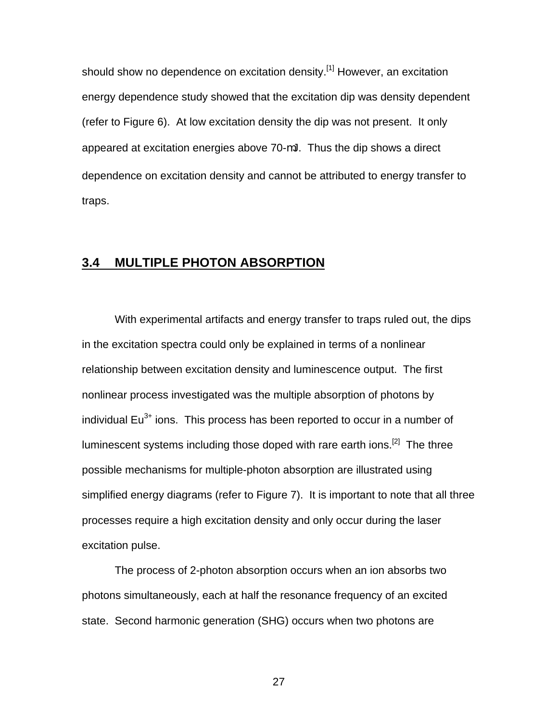should show no dependence on excitation density.<sup>[1]</sup> However, an excitation energy dependence study showed that the excitation dip was density dependent (refer to Figure 6). At low excitation density the dip was not present. It only appeared at excitation energies above 70-mJ. Thus the dip shows a direct dependence on excitation density and cannot be attributed to energy transfer to traps.

#### **3.4 MULTIPLE PHOTON ABSORPTION**

With experimental artifacts and energy transfer to traps ruled out, the dips in the excitation spectra could only be explained in terms of a nonlinear relationship between excitation density and luminescence output. The first nonlinear process investigated was the multiple absorption of photons by individual  $Eu<sup>3+</sup>$  ions. This process has been reported to occur in a number of luminescent systems including those doped with rare earth ions.<sup>[2]</sup> The three possible mechanisms for multiple-photon absorption are illustrated using simplified energy diagrams (refer to Figure 7). It is important to note that all three processes require a high excitation density and only occur during the laser excitation pulse.

The process of 2-photon absorption occurs when an ion absorbs two photons simultaneously, each at half the resonance frequency of an excited state. Second harmonic generation (SHG) occurs when two photons are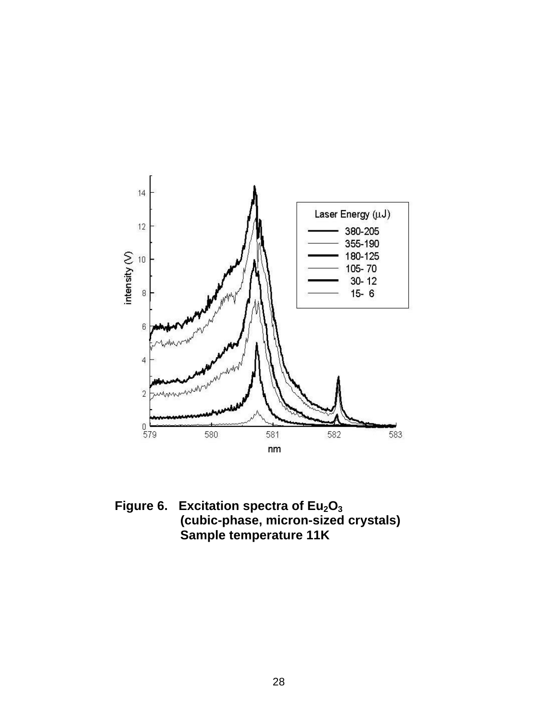

**Figure 6. Excitation spectra of Eu2O<sup>3</sup> (cubic-phase, micron-sized crystals) Sample temperature 11K**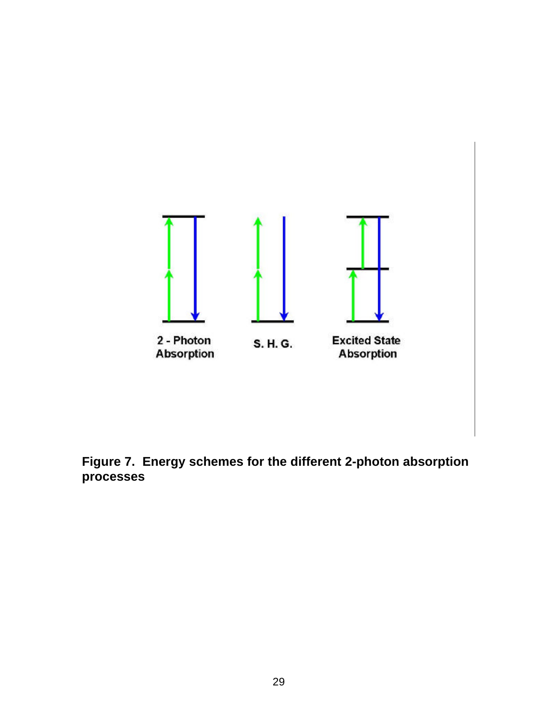

**Figure 7. Energy schemes for the different 2-photon absorption processes**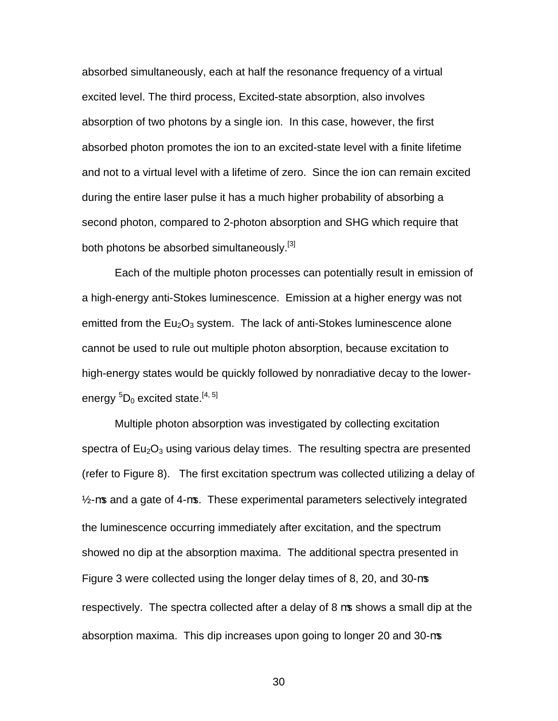absorbed simultaneously, each at half the resonance frequency of a virtual excited level. The third process, Excited-state absorption, also involves absorption of two photons by a single ion. In this case, however, the first absorbed photon promotes the ion to an excited-state level with a finite lifetime and not to a virtual level with a lifetime of zero. Since the ion can remain excited during the entire laser pulse it has a much higher probability of absorbing a second photon, compared to 2-photon absorption and SHG which require that both photons be absorbed simultaneously.<sup>[3]</sup>

Each of the multiple photon processes can potentially result in emission of a high-energy anti-Stokes luminescence. Emission at a higher energy was not emitted from the  $Eu<sub>2</sub>O<sub>3</sub>$  system. The lack of anti-Stokes luminescence alone cannot be used to rule out multiple photon absorption, because excitation to high-energy states would be quickly followed by nonradiative decay to the lowerenergy  ${}^5D_0$  excited state.<sup>[4, 5]</sup>

Multiple photon absorption was investigated by collecting excitation spectra of  $Eu<sub>2</sub>O<sub>3</sub>$  using various delay times. The resulting spectra are presented (refer to Figure 8). The first excitation spectrum was collected utilizing a delay of ½-ms and a gate of 4-ms. These experimental parameters selectively integrated the luminescence occurring immediately after excitation, and the spectrum showed no dip at the absorption maxima. The additional spectra presented in Figure 3 were collected using the longer delay times of 8, 20, and 30-ms respectively. The spectra collected after a delay of 8 ms shows a small dip at the absorption maxima. This dip increases upon going to longer 20 and 30-ms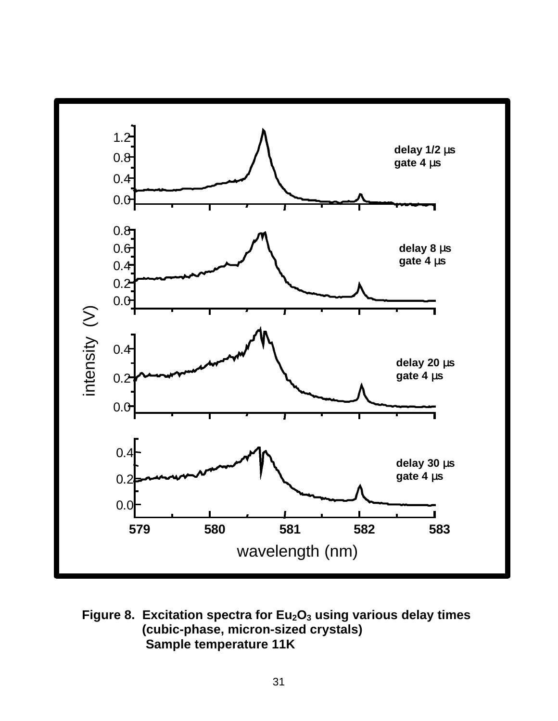

**Figure 8. Excitation spectra for Eu2O3 using various delay times (cubic-phase, micron-sized crystals) Sample temperature 11K**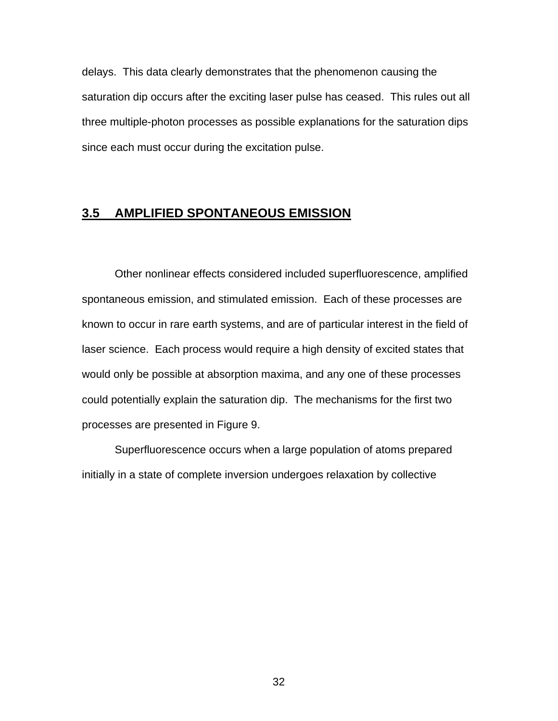delays. This data clearly demonstrates that the phenomenon causing the saturation dip occurs after the exciting laser pulse has ceased. This rules out all three multiple-photon processes as possible explanations for the saturation dips since each must occur during the excitation pulse.

### **3.5 AMPLIFIED SPONTANEOUS EMISSION**

Other nonlinear effects considered included superfluorescence, amplified spontaneous emission, and stimulated emission. Each of these processes are known to occur in rare earth systems, and are of particular interest in the field of laser science. Each process would require a high density of excited states that would only be possible at absorption maxima, and any one of these processes could potentially explain the saturation dip. The mechanisms for the first two processes are presented in Figure 9.

Superfluorescence occurs when a large population of atoms prepared initially in a state of complete inversion undergoes relaxation by collective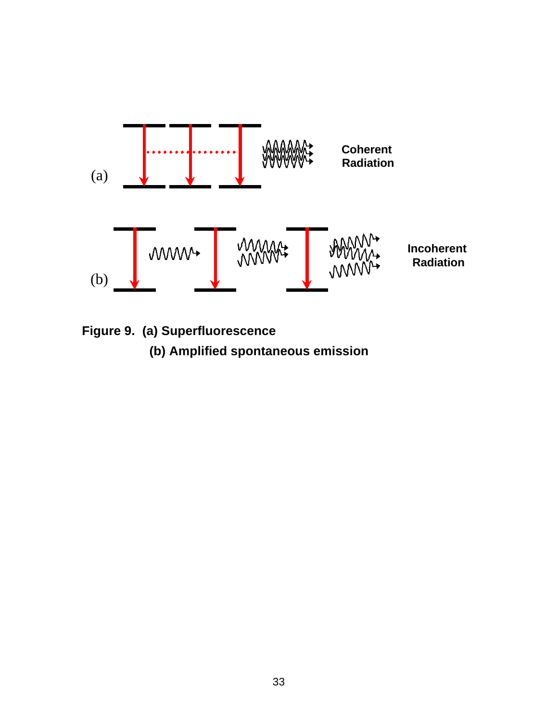

**Figure 9. (a) Superfluorescence (b) Amplified spontaneous emission**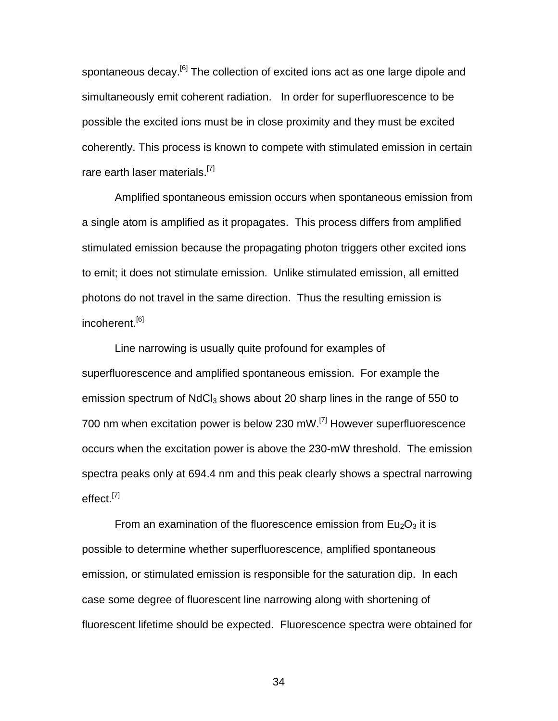spontaneous decay.<sup>[6]</sup> The collection of excited ions act as one large dipole and simultaneously emit coherent radiation. In order for superfluorescence to be possible the excited ions must be in close proximity and they must be excited coherently. This process is known to compete with stimulated emission in certain rare earth laser materials.<sup>[7]</sup>

Amplified spontaneous emission occurs when spontaneous emission from a single atom is amplified as it propagates. This process differs from amplified stimulated emission because the propagating photon triggers other excited ions to emit; it does not stimulate emission. Unlike stimulated emission, all emitted photons do not travel in the same direction. Thus the resulting emission is incoherent.<sup>[6]</sup>

Line narrowing is usually quite profound for examples of superfluorescence and amplified spontaneous emission. For example the emission spectrum of  $NdCl<sub>3</sub>$  shows about 20 sharp lines in the range of 550 to 700 nm when excitation power is below 230 mW.[7] However superfluorescence occurs when the excitation power is above the 230-mW threshold. The emission spectra peaks only at 694.4 nm and this peak clearly shows a spectral narrowing effect.<sup>[7]</sup>

From an examination of the fluorescence emission from  $Eu<sub>2</sub>O<sub>3</sub>$  it is possible to determine whether superfluorescence, amplified spontaneous emission, or stimulated emission is responsible for the saturation dip. In each case some degree of fluorescent line narrowing along with shortening of fluorescent lifetime should be expected. Fluorescence spectra were obtained for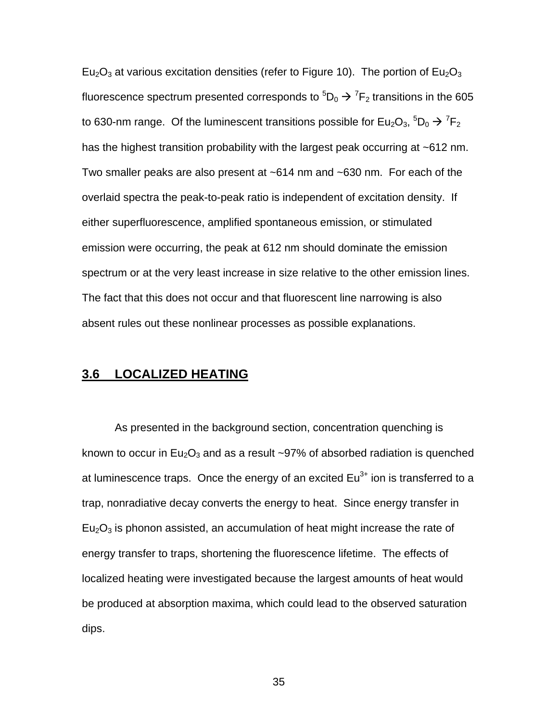Eu<sub>2</sub>O<sub>3</sub> at various excitation densities (refer to Figure 10). The portion of Eu<sub>2</sub>O<sub>3</sub> fluorescence spectrum presented corresponds to  ${}^5\text{D}_0 \rightarrow {}^7\text{F}_2$  transitions in the 605 to 630-nm range. Of the luminescent transitions possible for Eu<sub>2</sub>O<sub>3</sub>,  $^5$ D<sub>0</sub>  $\rightarrow$  <sup>7</sup>F<sub>2</sub> has the highest transition probability with the largest peak occurring at ~612 nm. Two smaller peaks are also present at ~614 nm and ~630 nm. For each of the overlaid spectra the peak-to-peak ratio is independent of excitation density. If either superfluorescence, amplified spontaneous emission, or stimulated emission were occurring, the peak at 612 nm should dominate the emission spectrum or at the very least increase in size relative to the other emission lines. The fact that this does not occur and that fluorescent line narrowing is also absent rules out these nonlinear processes as possible explanations.

### **3.6 LOCALIZED HEATING**

As presented in the background section, concentration quenching is known to occur in  $Eu_2O_3$  and as a result ~97% of absorbed radiation is quenched at luminescence traps. Once the energy of an excited  $Eu<sup>3+</sup>$  ion is transferred to a trap, nonradiative decay converts the energy to heat. Since energy transfer in  $Eu<sub>2</sub>O<sub>3</sub>$  is phonon assisted, an accumulation of heat might increase the rate of energy transfer to traps, shortening the fluorescence lifetime. The effects of localized heating were investigated because the largest amounts of heat would be produced at absorption maxima, which could lead to the observed saturation dips.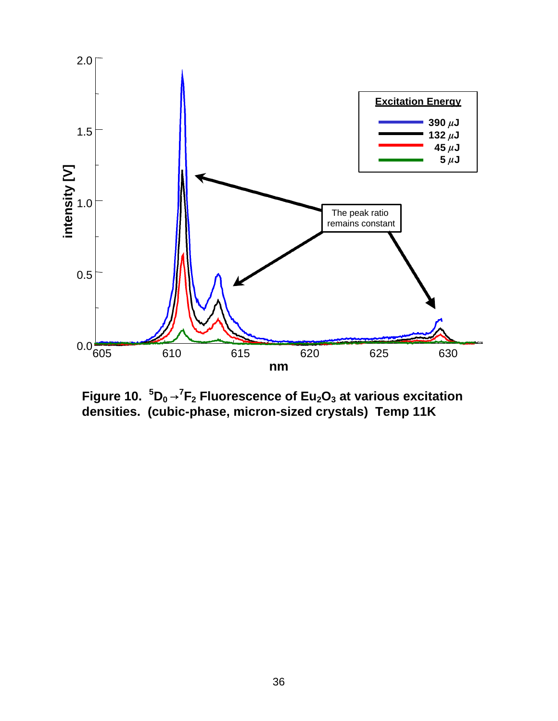

Figure 10.  ${}^{5}D_{0} \rightarrow {}^{7}F_{2}$  Fluorescence of Eu $_{2}O_{3}$  at various excitation **densities. (cubic-phase, micron-sized crystals) Temp 11K**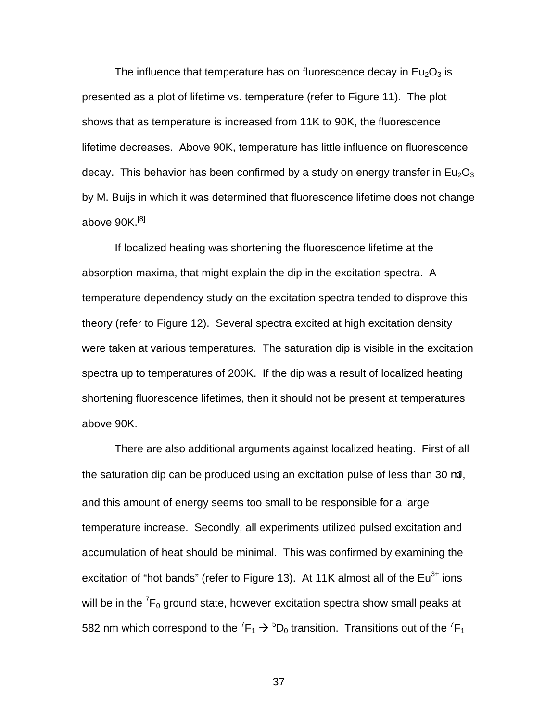The influence that temperature has on fluorescence decay in  $Eu<sub>2</sub>O<sub>3</sub>$  is presented as a plot of lifetime vs. temperature (refer to Figure 11). The plot shows that as temperature is increased from 11K to 90K, the fluorescence lifetime decreases. Above 90K, temperature has little influence on fluorescence decay. This behavior has been confirmed by a study on energy transfer in  $Eu<sub>2</sub>O<sub>3</sub>$ by M. Buijs in which it was determined that fluorescence lifetime does not change above 90K.<sup>[8]</sup>

If localized heating was shortening the fluorescence lifetime at the absorption maxima, that might explain the dip in the excitation spectra. A temperature dependency study on the excitation spectra tended to disprove this theory (refer to Figure 12). Several spectra excited at high excitation density were taken at various temperatures. The saturation dip is visible in the excitation spectra up to temperatures of 200K. If the dip was a result of localized heating shortening fluorescence lifetimes, then it should not be present at temperatures above 90K.

There are also additional arguments against localized heating. First of all the saturation dip can be produced using an excitation pulse of less than 30 mJ, and this amount of energy seems too small to be responsible for a large temperature increase. Secondly, all experiments utilized pulsed excitation and accumulation of heat should be minimal. This was confirmed by examining the excitation of "hot bands" (refer to Figure 13). At 11K almost all of the  $Eu^{3+}$  ions will be in the  ${\rm ^7F_0}$  ground state, however excitation spectra show small peaks at 582 nm which correspond to the  ${}^{7}F_1 \rightarrow {}^{5}D_0$  transition. Transitions out of the  ${}^{7}F_1$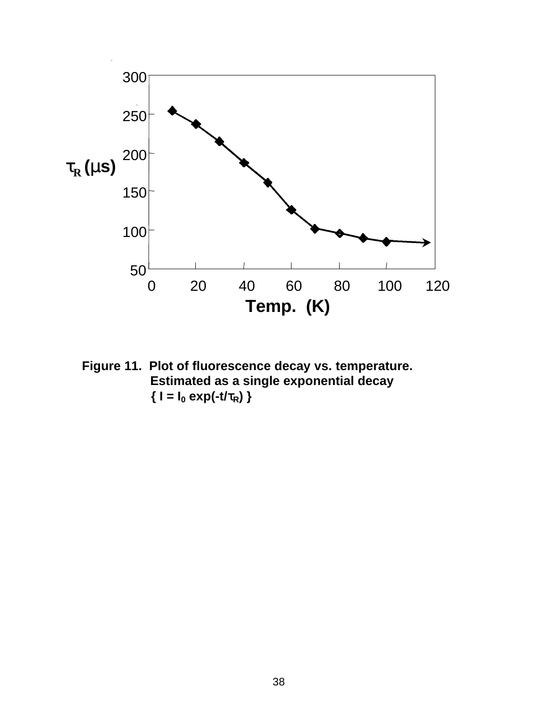

**Figure 11. Plot of fluorescence decay vs. temperature. Estimated as a single exponential decay**  $\{ I = I_0 \exp(-t/\tau_R) \}$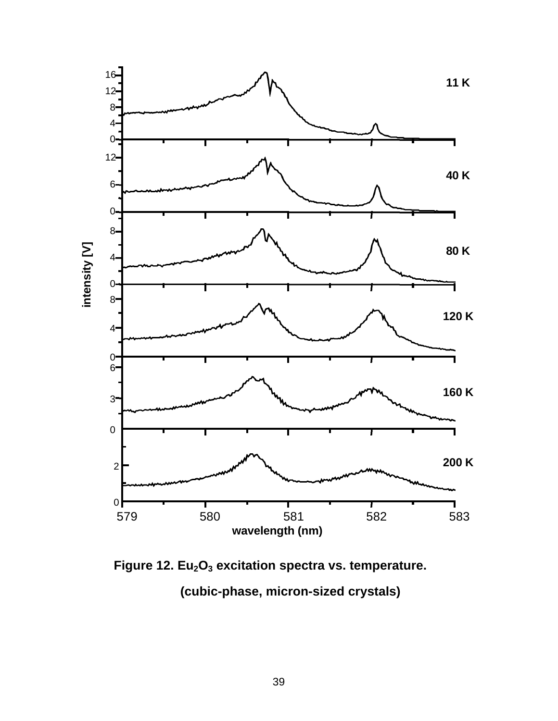

 **Figure 12. Eu2O3 excitation spectra vs. temperature. (cubic-phase, micron-sized crystals)**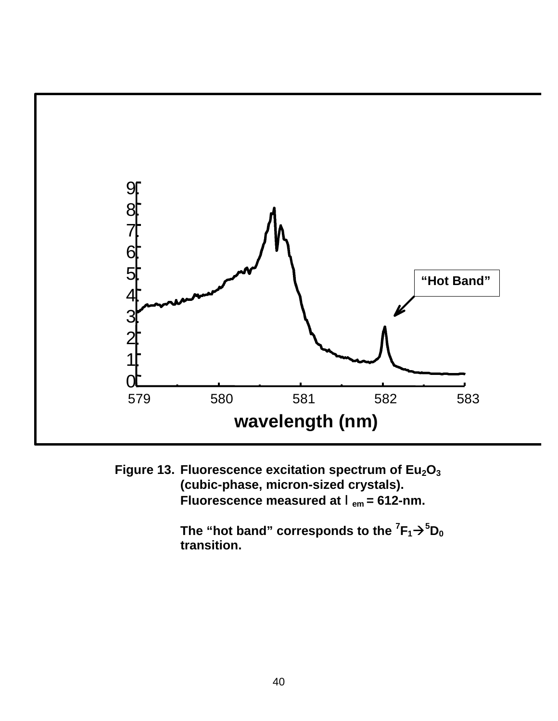

**Figure 13. Fluorescence excitation spectrum of Eu2O<sup>3</sup> (cubic-phase, micron-sized crystals). Fluorescence measured at** l**em = 612-nm.**

> $\mathsf{The}$  "hot band" corresponds to the  ${}^{7}\mathsf{F}_{1}$   $\rightarrow$   ${}^{5}\mathsf{D}_{0}$ **transition.**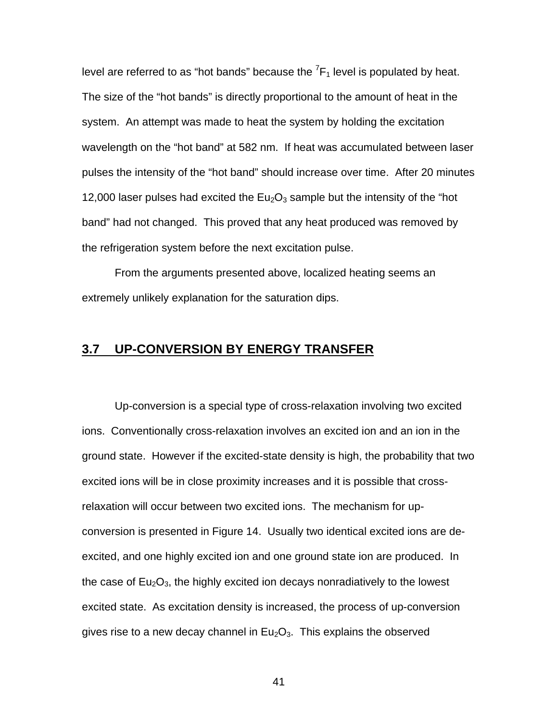level are referred to as "hot bands" because the  ${}^{7}F_{1}$  level is populated by heat. The size of the "hot bands" is directly proportional to the amount of heat in the system. An attempt was made to heat the system by holding the excitation wavelength on the "hot band" at 582 nm. If heat was accumulated between laser pulses the intensity of the "hot band" should increase over time. After 20 minutes 12,000 laser pulses had excited the  $Eu<sub>2</sub>O<sub>3</sub>$  sample but the intensity of the "hot band" had not changed. This proved that any heat produced was removed by the refrigeration system before the next excitation pulse.

From the arguments presented above, localized heating seems an extremely unlikely explanation for the saturation dips.

## **3.7 UP-CONVERSION BY ENERGY TRANSFER**

Up-conversion is a special type of cross-relaxation involving two excited ions. Conventionally cross-relaxation involves an excited ion and an ion in the ground state. However if the excited-state density is high, the probability that two excited ions will be in close proximity increases and it is possible that crossrelaxation will occur between two excited ions. The mechanism for upconversion is presented in Figure 14. Usually two identical excited ions are deexcited, and one highly excited ion and one ground state ion are produced. In the case of  $Eu<sub>2</sub>O<sub>3</sub>$ , the highly excited ion decays nonradiatively to the lowest excited state. As excitation density is increased, the process of up-conversion gives rise to a new decay channel in  $Eu<sub>2</sub>O<sub>3</sub>$ . This explains the observed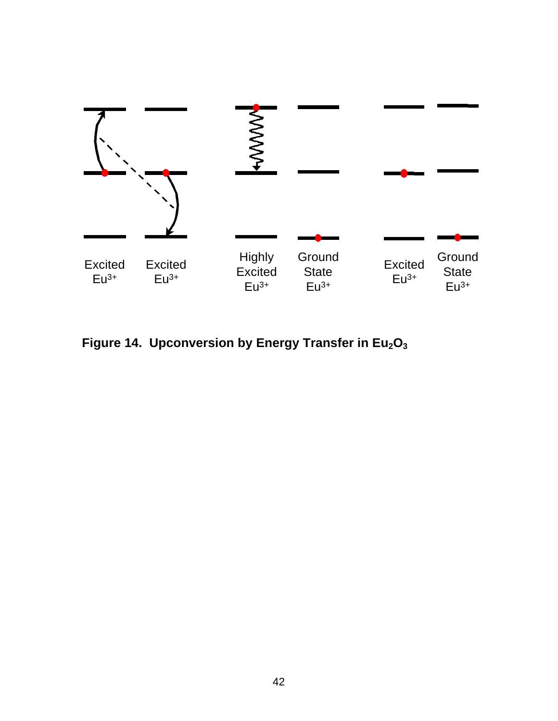

**Figure 14. Upconversion by Energy Transfer in Eu2O<sup>3</sup>**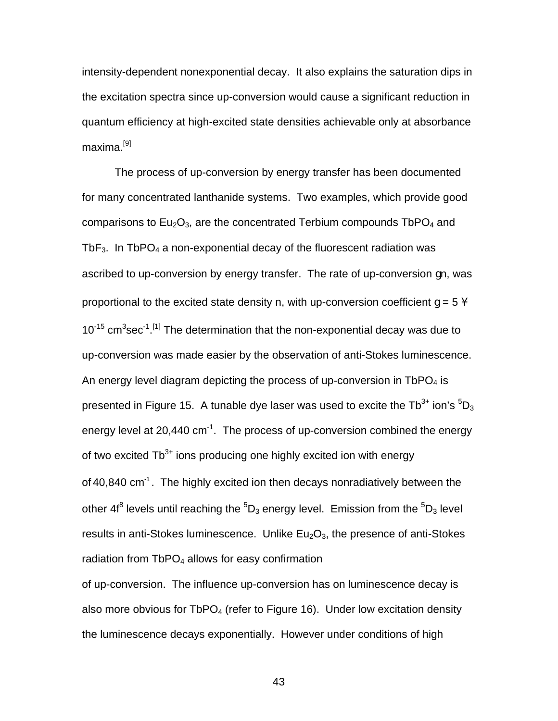intensity-dependent nonexponential decay. It also explains the saturation dips in the excitation spectra since up-conversion would cause a significant reduction in quantum efficiency at high-excited state densities achievable only at absorbance maxima.[9]

The process of up-conversion by energy transfer has been documented for many concentrated lanthanide systems. Two examples, which provide good comparisons to  $Eu_2O_3$ , are the concentrated Terbium compounds TbP $O_4$  and Tb $F_3$ . In TbPO<sub>4</sub> a non-exponential decay of the fluorescent radiation was ascribed to up-conversion by energy transfer. The rate of up-conversion gn, was proportional to the excited state density n, with up-conversion coefficient  $q = 5$  $10^{-15}$  cm<sup>3</sup>sec<sup>-1</sup>.<sup>[1]</sup> The determination that the non-exponential decay was due to up-conversion was made easier by the observation of anti-Stokes luminescence. An energy level diagram depicting the process of up-conversion in  $TbPO<sub>4</sub>$  is presented in Figure 15. A tunable dye laser was used to excite the Tb<sup>3+</sup> ion's  ${}^{5}D_{3}$ energy level at 20,440  $cm^{-1}$ . The process of up-conversion combined the energy of two excited  $\text{Tb}^{3+}$  ions producing one highly excited ion with energy of 40,840 cm $1$ . The highly excited ion then decays nonradiatively between the other 4f $^8$  levels until reaching the  $^5\mathsf{D}_3$  energy level.  $\,$  Emission from the  $^5\mathsf{D}_3$  level results in anti-Stokes luminescence. Unlike  $Eu<sub>2</sub>O<sub>3</sub>$ , the presence of anti-Stokes radiation from  $TbPO<sub>4</sub>$  allows for easy confirmation

of up-conversion. The influence up-conversion has on luminescence decay is also more obvious for  $TbPO<sub>4</sub>$  (refer to Figure 16). Under low excitation density the luminescence decays exponentially. However under conditions of high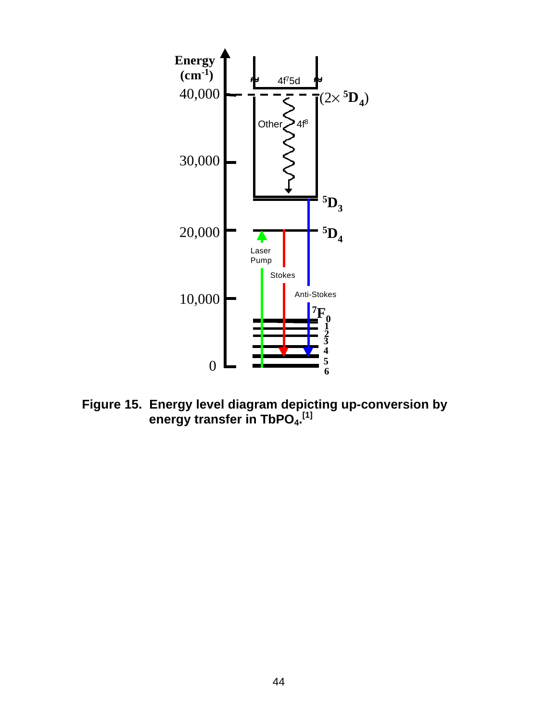

**Figure 15. Energy level diagram depicting up-conversion by energy transfer in TbPO<sub>4</sub>.<sup>[1]</sup>**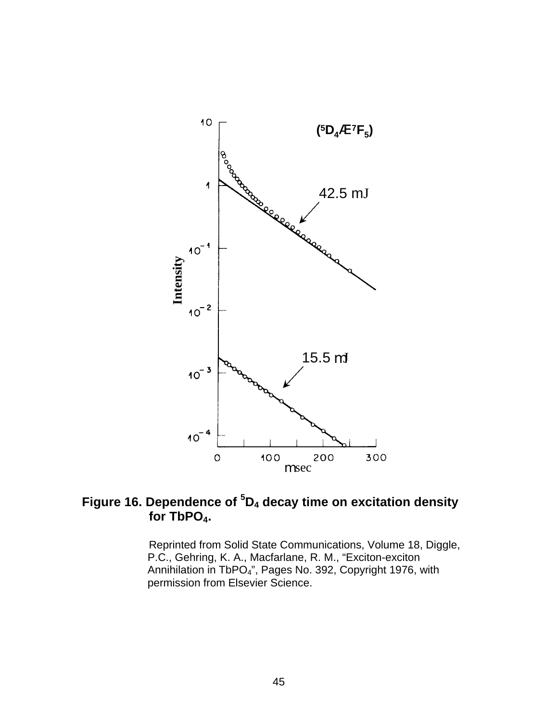

# **Figure 16. Dependence of <sup>5</sup>D4 decay time on excitation density for TbPO4.**

Reprinted from Solid State Communications, Volume 18, Diggle, P.C., Gehring, K. A., Macfarlane, R. M., "Exciton-exciton Annihilation in TbPO4", Pages No. 392, Copyright 1976, with permission from Elsevier Science.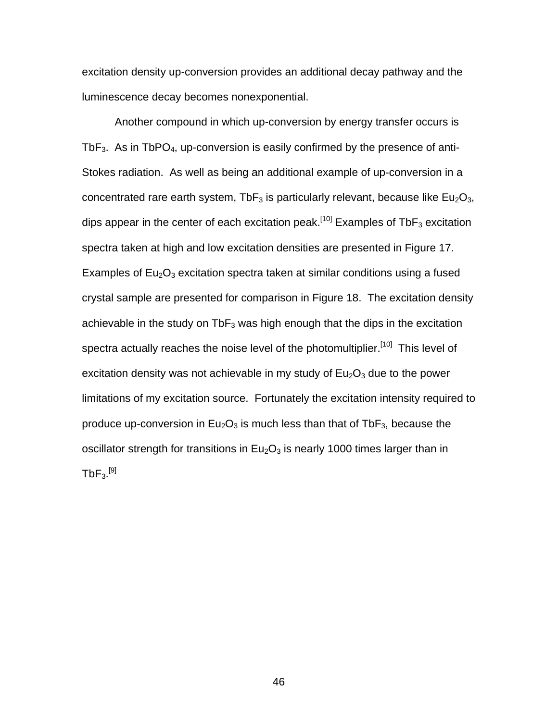excitation density up-conversion provides an additional decay pathway and the luminescence decay becomes nonexponential.

Another compound in which up-conversion by energy transfer occurs is Tb $F_3$ . As in TbPO<sub>4</sub>, up-conversion is easily confirmed by the presence of anti-Stokes radiation. As well as being an additional example of up-conversion in a concentrated rare earth system, TbF<sub>3</sub> is particularly relevant, because like Eu<sub>2</sub>O<sub>3</sub>, dips appear in the center of each excitation peak.<sup>[10]</sup> Examples of TbF<sub>3</sub> excitation spectra taken at high and low excitation densities are presented in Figure 17. Examples of  $Eu<sub>2</sub>O<sub>3</sub>$  excitation spectra taken at similar conditions using a fused crystal sample are presented for comparison in Figure 18. The excitation density achievable in the study on  $\text{TbF}_3$  was high enough that the dips in the excitation spectra actually reaches the noise level of the photomultiplier.<sup>[10]</sup> This level of excitation density was not achievable in my study of  $Eu<sub>2</sub>O<sub>3</sub>$  due to the power limitations of my excitation source. Fortunately the excitation intensity required to produce up-conversion in  $Eu<sub>2</sub>O<sub>3</sub>$  is much less than that of TbF<sub>3</sub>, because the oscillator strength for transitions in  $Eu<sub>2</sub>O<sub>3</sub>$  is nearly 1000 times larger than in  $\mathsf{TbF_3}.^{[9]}$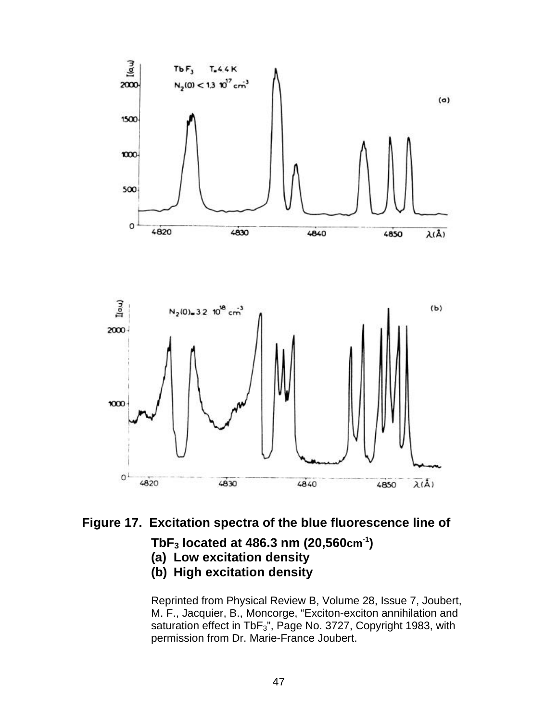

### **Figure 17. Excitation spectra of the blue fluorescence line of**

#### **TbF3 located at 486.3 nm (20,560cm-1)**

- **(a) Low excitation density**
- **(b) High excitation density**

Reprinted from Physical Review B, Volume 28, Issue 7, Joubert, M. F., Jacquier, B., Moncorge, "Exciton-exciton annihilation and saturation effect in TbF<sub>3</sub>", Page No. 3727, Copyright 1983, with permission from Dr. Marie-France Joubert.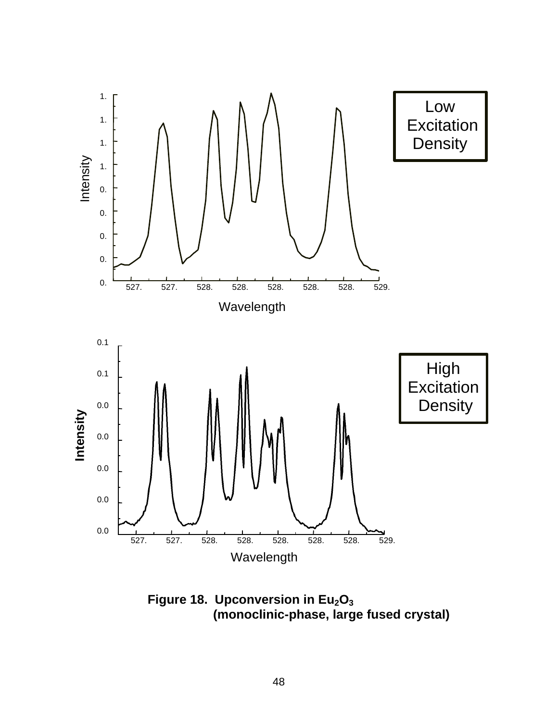

**Figure 18. Upconversion in Eu2O<sup>3</sup> (monoclinic-phase, large fused crystal)**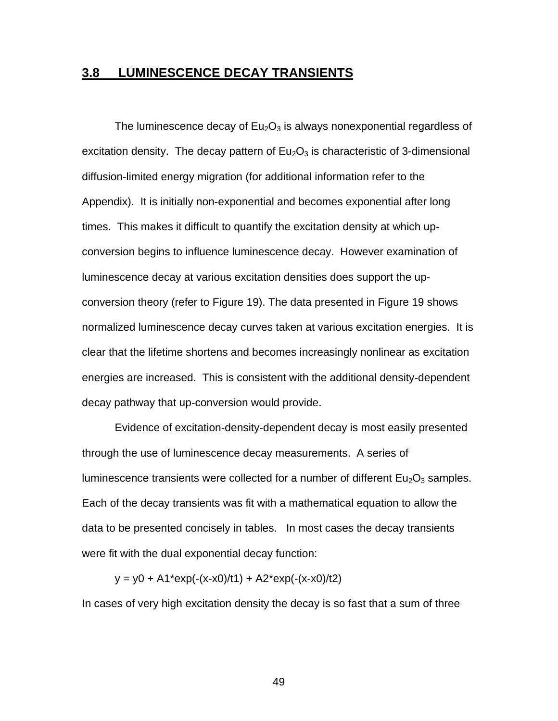#### **3.8 LUMINESCENCE DECAY TRANSIENTS**

The luminescence decay of  $Eu<sub>2</sub>O<sub>3</sub>$  is always nonexponential regardless of excitation density. The decay pattern of  $Eu<sub>2</sub>O<sub>3</sub>$  is characteristic of 3-dimensional diffusion-limited energy migration (for additional information refer to the Appendix). It is initially non-exponential and becomes exponential after long times. This makes it difficult to quantify the excitation density at which upconversion begins to influence luminescence decay. However examination of luminescence decay at various excitation densities does support the upconversion theory (refer to Figure 19). The data presented in Figure 19 shows normalized luminescence decay curves taken at various excitation energies. It is clear that the lifetime shortens and becomes increasingly nonlinear as excitation energies are increased. This is consistent with the additional density-dependent decay pathway that up-conversion would provide.

Evidence of excitation-density-dependent decay is most easily presented through the use of luminescence decay measurements. A series of luminescence transients were collected for a number of different  $Eu_2O_3$  samples. Each of the decay transients was fit with a mathematical equation to allow the data to be presented concisely in tables. In most cases the decay transients were fit with the dual exponential decay function:

 $y = y0 + A1*exp(-(x-x0)/t1) + A2*exp(-(x-x0)/t2)$ 

In cases of very high excitation density the decay is so fast that a sum of three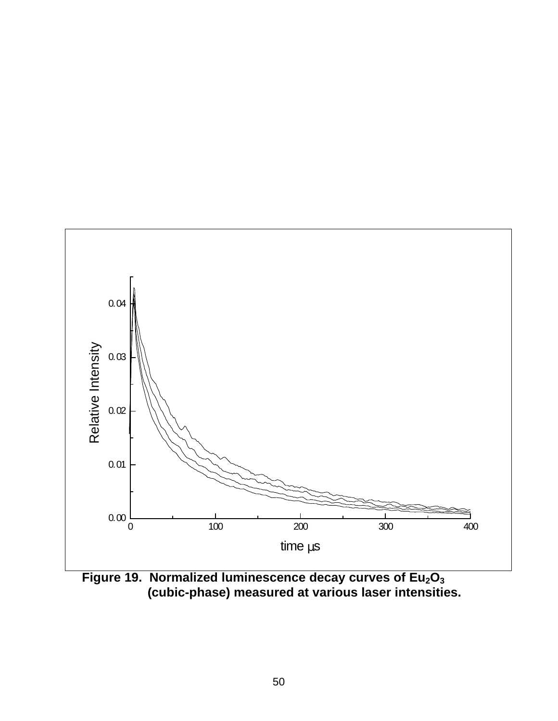

**Figure 19. Normalized luminescence decay curves of Eu2O<sup>3</sup> (cubic-phase) measured at various laser intensities.**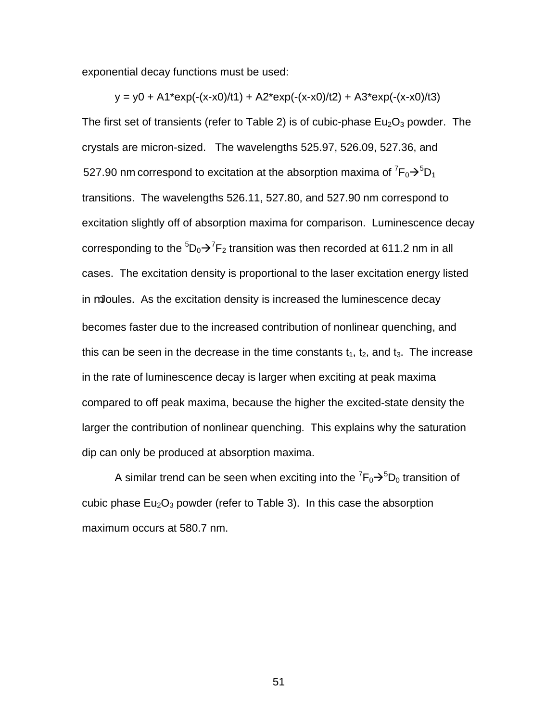exponential decay functions must be used:

 $y = y0 + A1*exp(-(x-x0)/t1) + A2*exp(-(x-x0)/t2) + A3*exp(-(x-x0)/t3)$ The first set of transients (refer to Table 2) is of cubic-phase  $Eu<sub>2</sub>O<sub>3</sub>$  powder. The crystals are micron-sized. The wavelengths 525.97, 526.09, 527.36, and 527.90 nm correspond to excitation at the absorption maxima of  ${}^{7}F_{0} \rightarrow {}^{5}D_{1}$ transitions. The wavelengths 526.11, 527.80, and 527.90 nm correspond to excitation slightly off of absorption maxima for comparison. Luminescence decay corresponding to the  ${}^5\mathrm{D}_0\textcolor{black}{\bm{\rightarrow}} {}^7\mathrm{F}_2$  transition was then recorded at 611.2 nm in all cases. The excitation density is proportional to the laser excitation energy listed in mJoules. As the excitation density is increased the luminescence decay becomes faster due to the increased contribution of nonlinear quenching, and this can be seen in the decrease in the time constants  $t_1$ ,  $t_2$ , and  $t_3$ . The increase in the rate of luminescence decay is larger when exciting at peak maxima compared to off peak maxima, because the higher the excited-state density the larger the contribution of nonlinear quenching. This explains why the saturation dip can only be produced at absorption maxima.

A similar trend can be seen when exciting into the  ${\rm ^7F_0}{\rm \rightarrow }^5{\rm D}_0$  transition of cubic phase  $Eu_2O_3$  powder (refer to Table 3). In this case the absorption maximum occurs at 580.7 nm.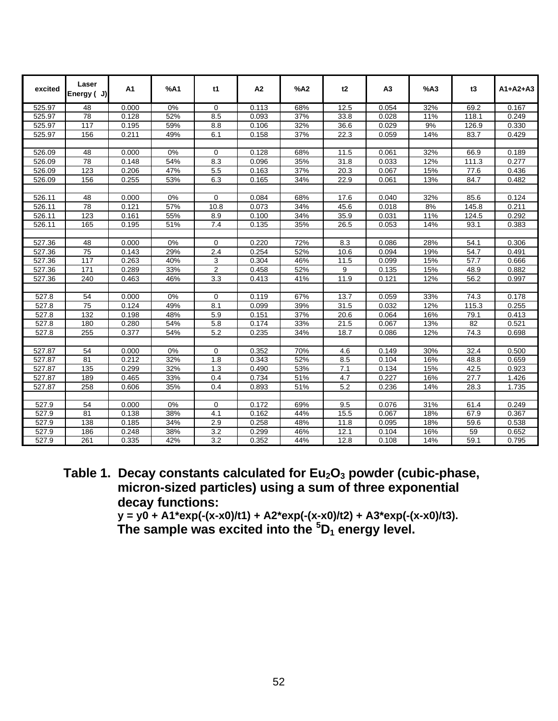| excited              | Laser<br>Energy ( J) | A1    | %A1 | t1             | A <sub>2</sub> | %A2 | t2   | A <sub>3</sub> | %A3 | t3    | $A1+A2+A3$ |
|----------------------|----------------------|-------|-----|----------------|----------------|-----|------|----------------|-----|-------|------------|
| 525.97               | $\overline{48}$      | 0.000 | 0%  | $\Omega$       | 0.113          | 68% | 12.5 | 0.054          | 32% | 69.2  | 0.167      |
| 525.97               | $\overline{78}$      | 0.128 | 52% | 8.5            | 0.093          | 37% | 33.8 | 0.028          | 11% | 118.1 | 0.249      |
| 525.97               | 117                  | 0.195 | 59% | 8.8            | 0.106          | 32% | 36.6 | 0.029          | 9%  | 126.9 | 0.330      |
| 525.97               | 156                  | 0.211 | 49% | 6.1            | 0.158          | 37% | 22.3 | 0.059          | 14% | 83.7  | 0.429      |
|                      |                      |       |     |                |                |     |      |                |     |       |            |
| 526.09               | 48                   | 0.000 | 0%  | $\mathbf 0$    | 0.128          | 68% | 11.5 | 0.061          | 32% | 66.9  | 0.189      |
| 526.09               | 78                   | 0.148 | 54% | 8.3            | 0.096          | 35% | 31.8 | 0.033          | 12% | 111.3 | 0.277      |
| 526.09               | 123                  | 0.206 | 47% | 5.5            | 0.163          | 37% | 20.3 | 0.067          | 15% | 77.6  | 0.436      |
| 526.09               | 156                  | 0.255 | 53% | 6.3            | 0.165          | 34% | 22.9 | 0.061          | 13% | 84.7  | 0.482      |
|                      |                      |       |     |                |                |     |      |                |     |       |            |
| 526.11               | 48                   | 0.000 | 0%  | 0              | 0.084          | 68% | 17.6 | 0.040          | 32% | 85.6  | 0.124      |
| 526.11               | 78                   | 0.121 | 57% | 10.8           | 0.073          | 34% | 45.6 | 0.018          | 8%  | 145.8 | 0.211      |
| 526.11               | 123                  | 0.161 | 55% | 8.9            | 0.100          | 34% | 35.9 | 0.031          | 11% | 124.5 | 0.292      |
| 526.11               | 165                  | 0.195 | 51% | 7.4            | 0.135          | 35% | 26.5 | 0.053          | 14% | 93.1  | 0.383      |
|                      |                      |       |     |                |                |     |      |                |     |       |            |
| 527.36               | 48                   | 0.000 | 0%  | 0              | 0.220          | 72% | 8.3  | 0.086          | 28% | 54.1  | 0.306      |
| 527.36               | 75                   | 0.143 | 29% | 2.4            | 0.254          | 52% | 10.6 | 0.094          | 19% | 54.7  | 0.491      |
| 527.36               | 117                  | 0.263 | 40% | 3              | 0.304          | 46% | 11.5 | 0.099          | 15% | 57.7  | 0.666      |
| $\overline{527}$ .36 | 171                  | 0.289 | 33% | $\overline{c}$ | 0.458          | 52% | 9    | 0.135          | 15% | 48.9  | 0.882      |
| 527.36               | 240                  | 0.463 | 46% | 3.3            | 0.413          | 41% | 11.9 | 0.121          | 12% | 56.2  | 0.997      |
|                      |                      |       |     |                |                |     |      |                |     |       |            |
| 527.8                | 54                   | 0.000 | 0%  | 0              | 0.119          | 67% | 13.7 | 0.059          | 33% | 74.3  | 0.178      |
| 527.8                | $\overline{75}$      | 0.124 | 49% | 8.1            | 0.099          | 39% | 31.5 | 0.032          | 12% | 115.3 | 0.255      |
| 527.8                | 132                  | 0.198 | 48% | 5.9            | 0.151          | 37% | 20.6 | 0.064          | 16% | 79.1  | 0.413      |
| 527.8                | 180                  | 0.280 | 54% | 5.8            | 0.174          | 33% | 21.5 | 0.067          | 13% | 82    | 0.521      |
| 527.8                | 255                  | 0.377 | 54% | 5.2            | 0.235          | 34% | 18.7 | 0.086          | 12% | 74.3  | 0.698      |
|                      |                      |       |     |                |                |     |      |                |     |       |            |
| 527.87               | 54                   | 0.000 | 0%  | 0              | 0.352          | 70% | 4.6  | 0.149          | 30% | 32.4  | 0.500      |
| 527.87               | 81                   | 0.212 | 32% | 1.8            | 0.343          | 52% | 8.5  | 0.104          | 16% | 48.8  | 0.659      |
| 527.87               | 135                  | 0.299 | 32% | 1.3            | 0.490          | 53% | 7.1  | 0.134          | 15% | 42.5  | 0.923      |
| 527.87               | 189                  | 0.465 | 33% | 0.4            | 0.734          | 51% | 4.7  | 0.227          | 16% | 27.7  | 1.426      |
| 527.87               | 258                  | 0.606 | 35% | 0.4            | 0.893          | 51% | 5.2  | 0.236          | 14% | 28.3  | 1.735      |
|                      |                      |       |     |                |                |     |      |                |     |       |            |
| 527.9                | 54                   | 0.000 | 0%  | $\mathbf 0$    | 0.172          | 69% | 9.5  | 0.076          | 31% | 61.4  | 0.249      |
| 527.9                | 81                   | 0.138 | 38% | 4.1            | 0.162          | 44% | 15.5 | 0.067          | 18% | 67.9  | 0.367      |
| 527.9                | 138                  | 0.185 | 34% | 2.9            | 0.258          | 48% | 11.8 | 0.095          | 18% | 59.6  | 0.538      |
| 527.9                | 186                  | 0.248 | 38% | 3.2            | 0.299          | 46% | 12.1 | 0.104          | 16% | 59    | 0.652      |
| 527.9                | 261                  | 0.335 | 42% | 3.2            | 0.352          | 44% | 12.8 | 0.108          | 14% | 59.1  | 0.795      |

**Table 1. Decay constants calculated for Eu2O3 powder (cubic-phase, micron-sized particles) using a sum of three exponential decay functions:**

 **y = y0 + A1\*exp(-(x-x0)/t1) + A2\*exp(-(x-x0)/t2) + A3\*exp(-(x-x0)/t3). The sample was excited into the <sup>5</sup>D1 energy level.**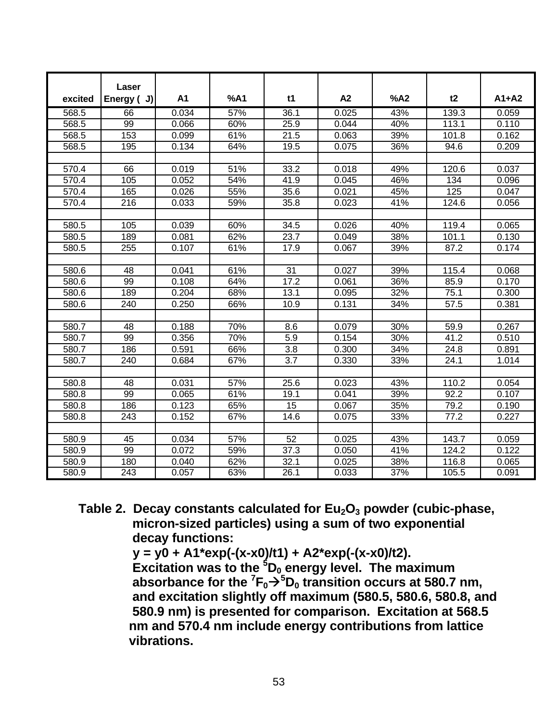| excited | Laser<br>Energy (J) | A1    | %A1 | t1   | A2    | %A2 | t2    | $A1+A2$ |
|---------|---------------------|-------|-----|------|-------|-----|-------|---------|
| 568.5   | 66                  | 0.034 | 57% | 36.1 | 0.025 | 43% | 139.3 | 0.059   |
| 568.5   | 99                  | 0.066 | 60% | 25.9 | 0.044 | 40% | 113.1 | 0.110   |
| 568.5   | 153                 | 0.099 | 61% | 21.5 | 0.063 | 39% | 101.8 | 0.162   |
| 568.5   | 195                 | 0.134 | 64% | 19.5 | 0.075 | 36% | 94.6  | 0.209   |
|         |                     |       |     |      |       |     |       |         |
| 570.4   | 66                  | 0.019 | 51% | 33.2 | 0.018 | 49% | 120.6 | 0.037   |
| 570.4   | 105                 | 0.052 | 54% | 41.9 | 0.045 | 46% | 134   | 0.096   |
| 570.4   | 165                 | 0.026 | 55% | 35.6 |       | 45% | 125   |         |
|         |                     |       |     |      | 0.021 |     |       | 0.047   |
| 570.4   | 216                 | 0.033 | 59% | 35.8 | 0.023 | 41% | 124.6 | 0.056   |
|         |                     |       |     |      |       |     |       |         |
| 580.5   | 105                 | 0.039 | 60% | 34.5 | 0.026 | 40% | 119.4 | 0.065   |
| 580.5   | 189                 | 0.081 | 62% | 23.7 | 0.049 | 38% | 101.1 | 0.130   |
| 580.5   | 255                 | 0.107 | 61% | 17.9 | 0.067 | 39% | 87.2  | 0.174   |
|         |                     |       |     |      |       |     |       |         |
| 580.6   | 48                  | 0.041 | 61% | 31   | 0.027 | 39% | 115.4 | 0.068   |
| 580.6   | 99                  | 0.108 | 64% | 17.2 | 0.061 | 36% | 85.9  | 0.170   |
| 580.6   | 189                 | 0.204 | 68% | 13.1 | 0.095 | 32% | 75.1  | 0.300   |
| 580.6   | 240                 | 0.250 | 66% | 10.9 | 0.131 | 34% | 57.5  | 0.381   |
|         |                     |       |     |      |       |     |       |         |
| 580.7   | 48                  | 0.188 | 70% | 8.6  | 0.079 | 30% | 59.9  | 0.267   |
| 580.7   | 99                  | 0.356 | 70% | 5.9  | 0.154 | 30% | 41.2  | 0.510   |
| 580.7   | 186                 | 0.591 | 66% | 3.8  | 0.300 | 34% | 24.8  | 0.891   |
| 580.7   | 240                 | 0.684 | 67% | 3.7  | 0.330 | 33% | 24.1  | 1.014   |
|         |                     |       |     |      |       |     |       |         |
| 580.8   | 48                  | 0.031 | 57% | 25.6 | 0.023 | 43% | 110.2 | 0.054   |
| 580.8   | 99                  | 0.065 | 61% | 19.1 | 0.041 | 39% | 92.2  | 0.107   |
| 580.8   | 186                 | 0.123 | 65% | 15   | 0.067 | 35% | 79.2  | 0.190   |
| 580.8   | 243                 | 0.152 | 67% | 14.6 | 0.075 | 33% | 77.2  | 0.227   |
|         |                     |       |     |      |       |     |       |         |
| 580.9   | 45                  | 0.034 | 57% | 52   | 0.025 | 43% | 143.7 | 0.059   |
| 580.9   | 99                  | 0.072 | 59% | 37.3 | 0.050 | 41% | 124.2 | 0.122   |
| 580.9   | 180                 | 0.040 | 62% | 32.1 | 0.025 | 38% | 116.8 | 0.065   |
| 580.9   | 243                 | 0.057 | 63% | 26.1 | 0.033 | 37% | 105.5 | 0.091   |

**Table 2. Decay constants calculated for Eu2O3 powder (cubic-phase, micron-sized particles) using a sum of two exponential decay functions:**

 **y = y0 + A1\*exp(-(x-x0)/t1) + A2\*exp(-(x-x0)/t2).**

 **Excitation was to the <sup>5</sup>D0 energy level. The maximum absorbance for the**  ${}^{7}F_{0} \rightarrow {}^{5}D_{0}$  **transition occurs at 580.7 nm, and excitation slightly off maximum (580.5, 580.6, 580.8, and 580.9 nm) is presented for comparison. Excitation at 568.5 nm and 570.4 nm include energy contributions from lattice vibrations.**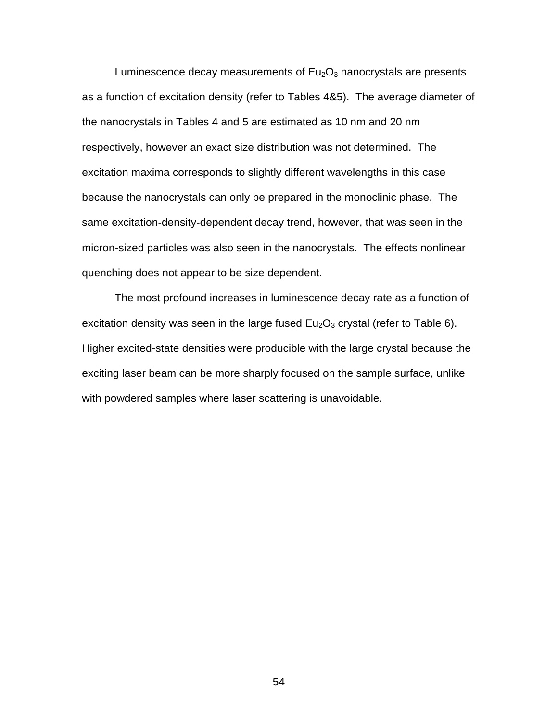Luminescence decay measurements of  $Eu<sub>2</sub>O<sub>3</sub>$  nanocrystals are presents as a function of excitation density (refer to Tables 4&5). The average diameter of the nanocrystals in Tables 4 and 5 are estimated as 10 nm and 20 nm respectively, however an exact size distribution was not determined. The excitation maxima corresponds to slightly different wavelengths in this case because the nanocrystals can only be prepared in the monoclinic phase. The same excitation-density-dependent decay trend, however, that was seen in the micron-sized particles was also seen in the nanocrystals. The effects nonlinear quenching does not appear to be size dependent.

The most profound increases in luminescence decay rate as a function of excitation density was seen in the large fused  $Eu<sub>2</sub>O<sub>3</sub>$  crystal (refer to Table 6). Higher excited-state densities were producible with the large crystal because the exciting laser beam can be more sharply focused on the sample surface, unlike with powdered samples where laser scattering is unavoidable.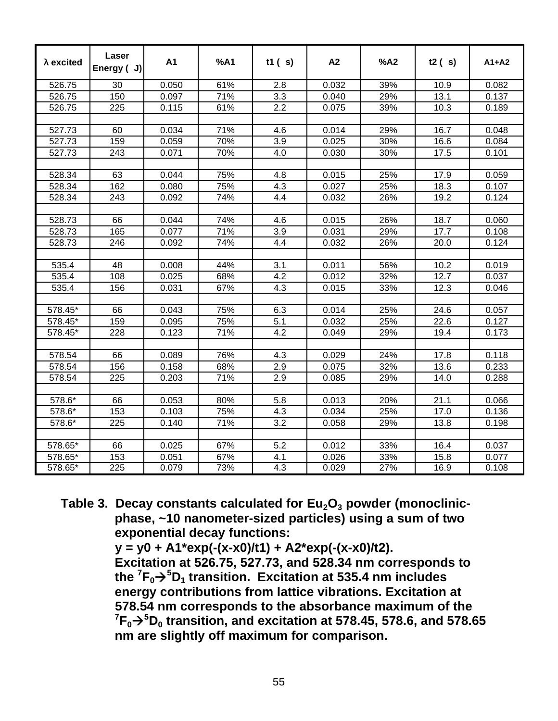| $\lambda$ excited | Laser<br>Energy (J) | A1    | %A1 | t1 $(s)$ | A2    | %A2 | t2(s) | $A1+A2$ |
|-------------------|---------------------|-------|-----|----------|-------|-----|-------|---------|
| 526.75            | 30                  | 0.050 | 61% | 2.8      | 0.032 | 39% | 10.9  | 0.082   |
| 526.75            | 150                 | 0.097 | 71% | 3.3      | 0.040 | 29% | 13.1  | 0.137   |
| 526.75            | 225                 | 0.115 | 61% | 2.2      | 0.075 | 39% | 10.3  | 0.189   |
|                   |                     |       |     |          |       |     |       |         |
| 527.73            | 60                  | 0.034 | 71% | 4.6      | 0.014 | 29% | 16.7  | 0.048   |
| 527.73            | 159                 | 0.059 | 70% | 3.9      | 0.025 | 30% | 16.6  | 0.084   |
| 527.73            | 243                 | 0.071 | 70% | 4.0      | 0.030 | 30% | 17.5  | 0.101   |
|                   |                     |       |     |          |       |     |       |         |
| 528.34            | 63                  | 0.044 | 75% | 4.8      | 0.015 | 25% | 17.9  | 0.059   |
| 528.34            | 162                 | 0.080 | 75% | 4.3      | 0.027 | 25% | 18.3  | 0.107   |
| 528.34            | 243                 | 0.092 | 74% | 4.4      | 0.032 | 26% | 19.2  | 0.124   |
|                   |                     |       |     |          |       |     |       |         |
| 528.73            | 66                  | 0.044 | 74% | 4.6      | 0.015 | 26% | 18.7  | 0.060   |
| 528.73            | 165                 | 0.077 | 71% | 3.9      | 0.031 | 29% | 17.7  | 0.108   |
| 528.73            | 246                 | 0.092 | 74% | 4.4      | 0.032 | 26% | 20.0  | 0.124   |
|                   |                     |       |     |          |       |     |       |         |
| 535.4             | 48                  | 0.008 | 44% | 3.1      | 0.011 | 56% | 10.2  | 0.019   |
| 535.4             | 108                 | 0.025 | 68% | 4.2      | 0.012 | 32% | 12.7  | 0.037   |
| 535.4             | 156                 | 0.031 | 67% | 4.3      | 0.015 | 33% | 12.3  | 0.046   |
|                   |                     |       |     |          |       |     |       |         |
| 578.45*           | 66                  | 0.043 | 75% | 6.3      | 0.014 | 25% | 24.6  | 0.057   |
| 578.45*           | 159                 | 0.095 | 75% | 5.1      | 0.032 | 25% | 22.6  | 0.127   |
| 578.45*           | 228                 | 0.123 | 71% | 4.2      | 0.049 | 29% | 19.4  | 0.173   |
|                   |                     |       |     |          |       |     |       |         |
| 578.54            | 66                  | 0.089 | 76% | 4.3      | 0.029 | 24% | 17.8  | 0.118   |
| 578.54            | 156                 | 0.158 | 68% | 2.9      | 0.075 | 32% | 13.6  | 0.233   |
| 578.54            | 225                 | 0.203 | 71% | 2.9      | 0.085 | 29% | 14.0  | 0.288   |
|                   |                     |       |     |          |       |     |       |         |
| 578.6*            | 66                  | 0.053 | 80% | 5.8      | 0.013 | 20% | 21.1  | 0.066   |
| 578.6*            | 153                 | 0.103 | 75% | 4.3      | 0.034 | 25% | 17.0  | 0.136   |
| 578.6*            | 225                 | 0.140 | 71% | 3.2      | 0.058 | 29% | 13.8  | 0.198   |
|                   |                     |       |     |          |       |     |       |         |
| 578.65*           | 66                  | 0.025 | 67% | 5.2      | 0.012 | 33% | 16.4  | 0.037   |
| 578.65*           | 153                 | 0.051 | 67% | 4.1      | 0.026 | 33% | 15.8  | 0.077   |
| 578.65*           | $\overline{225}$    | 0.079 | 73% | 4.3      | 0.029 | 27% | 16.9  | 0.108   |

**Table 3. Decay constants calculated for Eu2O3 powder (monoclinic phase, ~10 nanometer-sized particles) using a sum of two exponential decay functions:**

 **y = y0 + A1\*exp(-(x-x0)/t1) + A2\*exp(-(x-x0)/t2).**

 **Excitation at 526.75, 527.73, and 528.34 nm corresponds to** the  ${}^{7}F_{0} \rightarrow {}^{5}D_{1}$  transition. Excitation at 535.4 nm includes  **energy contributions from lattice vibrations. Excitation at 578.54 nm corresponds to the absorbance maximum of the**  ${}^{7}F_{0}$  $\rightarrow$ <sup>5</sup> $D_{0}$  transition, and excitation at 578.45, 578.6, and 578.65  **nm are slightly off maximum for comparison.**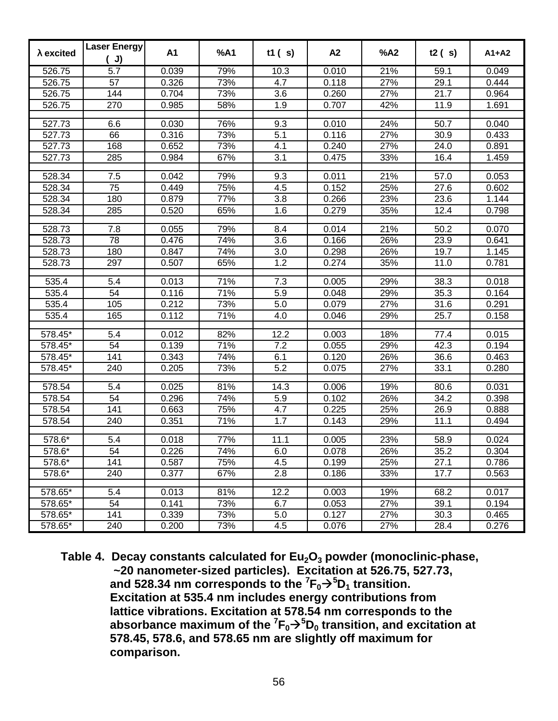| $\lambda$ excited   | <b>Laser Energy</b><br>J) | A1    | %A1 | t1(s) | A2    | %A2 | t2(s) | $A1+A2$ |
|---------------------|---------------------------|-------|-----|-------|-------|-----|-------|---------|
| $\overline{526.75}$ | 5.7                       | 0.039 | 79% | 10.3  | 0.010 | 21% | 59.1  | 0.049   |
| 526.75              | 57                        | 0.326 | 73% | 4.7   | 0.118 | 27% | 29.1  | 0.444   |
| 526.75              | 144                       | 0.704 | 73% | 3.6   | 0.260 | 27% | 21.7  | 0.964   |
| 526.75              | 270                       | 0.985 | 58% | 1.9   | 0.707 | 42% | 11.9  | 1.691   |
| 527.73              | 6.6                       | 0.030 | 76% | 9.3   | 0.010 | 24% | 50.7  | 0.040   |
| 527.73              | 66                        | 0.316 | 73% | 5.1   | 0.116 | 27% | 30.9  | 0.433   |
| 527.73              | 168                       | 0.652 | 73% | 4.1   | 0.240 | 27% | 24.0  | 0.891   |
| 527.73              | 285                       | 0.984 | 67% | 3.1   | 0.475 | 33% | 16.4  | 1.459   |
| 528.34              | 7.5                       | 0.042 | 79% | 9.3   | 0.011 | 21% | 57.0  | 0.053   |
| 528.34              | 75                        | 0.449 | 75% | 4.5   | 0.152 | 25% | 27.6  | 0.602   |
| 528.34              | 180                       | 0.879 | 77% | 3.8   | 0.266 | 23% | 23.6  | 1.144   |
| 528.34              | 285                       | 0.520 | 65% | 1.6   | 0.279 | 35% | 12.4  | 0.798   |
|                     |                           |       |     |       |       |     |       |         |
| 528.73              | 7.8                       | 0.055 | 79% | 8.4   | 0.014 | 21% | 50.2  | 0.070   |
| 528.73              | 78                        | 0.476 | 74% | 3.6   | 0.166 | 26% | 23.9  | 0.641   |
| 528.73              | 180                       | 0.847 | 74% | 3.0   | 0.298 | 26% | 19.7  | 1.145   |
| 528.73              | 297                       | 0.507 | 65% | 1.2   | 0.274 | 35% | 11.0  | 0.781   |
| 535.4               | 5.4                       | 0.013 | 71% | 7.3   | 0.005 | 29% | 38.3  | 0.018   |
| 535.4               | 54                        | 0.116 | 71% | 5.9   | 0.048 | 29% | 35.3  | 0.164   |
| 535.4               | 105                       | 0.212 | 73% | 5.0   | 0.079 | 27% | 31.6  | 0.291   |
| 535.4               | 165                       | 0.112 | 71% | 4.0   | 0.046 | 29% | 25.7  | 0.158   |
| 578.45*             | 5.4                       | 0.012 | 82% | 12.2  | 0.003 | 18% | 77.4  | 0.015   |
| 578.45*             | 54                        | 0.139 | 71% | 7.2   | 0.055 | 29% | 42.3  | 0.194   |
| 578.45*             | 141                       | 0.343 | 74% | 6.1   | 0.120 | 26% | 36.6  | 0.463   |
| 578.45*             | 240                       | 0.205 | 73% | 5.2   | 0.075 | 27% | 33.1  | 0.280   |
| 578.54              | 5.4                       | 0.025 | 81% | 14.3  | 0.006 | 19% | 80.6  | 0.031   |
| 578.54              | 54                        | 0.296 | 74% | 5.9   | 0.102 | 26% | 34.2  | 0.398   |
| 578.54              | 141                       | 0.663 | 75% | 4.7   | 0.225 | 25% | 26.9  | 0.888   |
| 578.54              | 240                       | 0.351 | 71% | 1.7   | 0.143 | 29% | 11.1  | 0.494   |
|                     |                           |       |     |       |       |     |       |         |
| 578.6*              | 5.4                       | 0.018 | 77% | 11.1  | 0.005 | 23% | 58.9  | 0.024   |
| 578.6*              | 54                        | 0.226 | 74% | 6.0   | 0.078 | 26% | 35.2  | 0.304   |
| 578.6*              | 141                       | 0.587 | 75% | 4.5   | 0.199 | 25% | 27.1  | 0.786   |
| 578.6*              | 240                       | 0.377 | 67% | 2.8   | 0.186 | 33% | 17.7  | 0.563   |
| 578.65*             | 5.4                       | 0.013 | 81% | 12.2  | 0.003 | 19% | 68.2  | 0.017   |
| 578.65*             | 54                        | 0.141 | 73% | 6.7   | 0.053 | 27% | 39.1  | 0.194   |
| 578.65*             | 141                       | 0.339 | 73% | 5.0   | 0.127 | 27% | 30.3  | 0.465   |
| 578.65*             | 240                       | 0.200 | 73% | 4.5   | 0.076 | 27% | 28.4  | 0.276   |

**Table 4. Decay constants calculated for Eu2O3 powder (monoclinic-phase, ~20 nanometer-sized particles). Excitation at 526.75, 527.73,** and 528.34 nm corresponds to the  ${}^{7}F_{0} \rightarrow {}^{5}D_{1}$  transition.  **Excitation at 535.4 nm includes energy contributions from lattice vibrations. Excitation at 578.54 nm corresponds to the absorbance maximum of the**  ${}^{7}F_{0} \rightarrow {}^{5}D_{0}$  **transition, and excitation at 578.45, 578.6, and 578.65 nm are slightly off maximum for comparison.**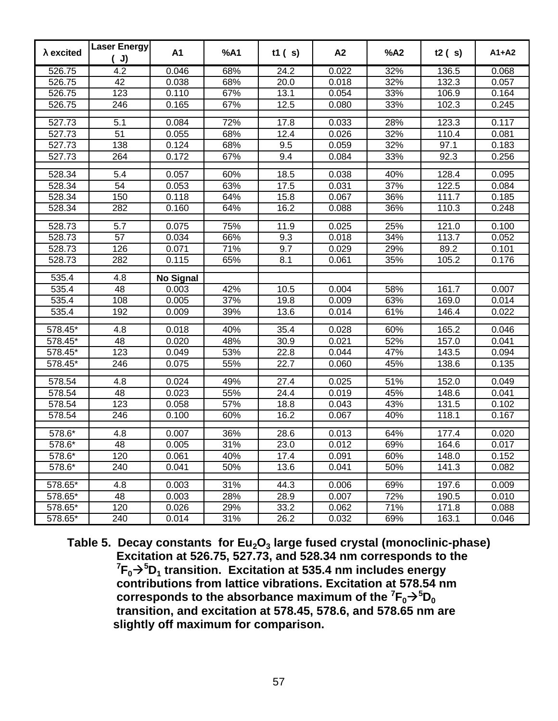| $\lambda$ excited | Laser Energy<br>J) | A1               | %A1               | t1(s)             | A2    | %A2 | t2(s)              | $A1+A2$ |
|-------------------|--------------------|------------------|-------------------|-------------------|-------|-----|--------------------|---------|
| 526.75            | 4.2                | 0.046            | 68%               | 24.2              | 0.022 | 32% | 136.5              | 0.068   |
| 526.75            | 42                 | 0.038            | 68%               | 20.0              | 0.018 | 32% | 132.3              | 0.057   |
| 526.75            | 123                | 0.110            | 67%               | 13.1              | 0.054 | 33% | 106.9              | 0.164   |
| 526.75            | 246                | 0.165            | 67%               | 12.5              | 0.080 | 33% | 102.3              | 0.245   |
| 527.73            | 5.1                | 0.084            | 72%               | 17.8              | 0.033 | 28% | 123.3              | 0.117   |
| 527.73            | $\overline{51}$    | 0.055            | 68%               | 12.4              | 0.026 | 32% | 110.4              | 0.081   |
| 527.73            | 138                | 0.124            | 68%               | 9.5               | 0.059 | 32% | 97.1               | 0.183   |
| 527.73            | 264                | 0.172            | 67%               | 9.4               | 0.084 | 33% | 92.3               | 0.256   |
|                   | 5.4                |                  |                   |                   |       |     |                    |         |
| 528.34            |                    | 0.057            | 60%               | 18.5              | 0.038 | 40% | 128.4              | 0.095   |
| 528.34            | 54<br>150          | 0.053            | 63%               | 17.5              | 0.031 | 37% | 122.5              | 0.084   |
| 528.34            |                    | 0.118            | 64%               | 15.8              | 0.067 | 36% | 111.7              | 0.185   |
| 528.34            | 282                | 0.160            | 64%               | 16.2              | 0.088 | 36% | 110.3              | 0.248   |
| 528.73            | 5.7                | 0.075            | 75%               | 11.9              | 0.025 | 25% | $\overline{1}21.0$ | 0.100   |
| 528.73            | $\overline{57}$    | 0.034            | 66%               | 9.3               | 0.018 | 34% | 113.7              | 0.052   |
| 528.73            | 126                | 0.071            | $\frac{1}{71%}$   | 9.7               | 0.029 | 29% | 89.2               | 0.101   |
| 528.73            | 282                | 0.115            | 65%               | 8.1               | 0.061 | 35% | 105.2              | 0.176   |
| 535.4             | 4.8                | <b>No Signal</b> |                   |                   |       |     |                    |         |
| 535.4             | 48                 | 0.003            | 42%               | 10.5              | 0.004 | 58% | 161.7              | 0.007   |
| 535.4             | 108                | 0.005            | 37%               | 19.8              | 0.009 | 63% | 169.0              | 0.014   |
| 535.4             | 192                | 0.009            | 39%               | 13.6              | 0.014 | 61% | 146.4              | 0.022   |
| $578.45*$         | 4.8                | 0.018            | 40%               | 35.4              | 0.028 | 60% | 165.2              | 0.046   |
| 578.45*           | 48                 | 0.020            | 48%               | 30.9              | 0.021 | 52% | 157.0              | 0.041   |
| 578.45*           | 123                | 0.049            | 53%               | 22.8              | 0.044 | 47% | 143.5              | 0.094   |
| 578.45*           | 246                | 0.075            | 55%               | 22.7              | 0.060 | 45% | 138.6              | 0.135   |
|                   |                    |                  |                   |                   |       |     |                    |         |
| 578.54            | 4.8                | 0.024            | 49%               | $\overline{27.4}$ | 0.025 | 51% | 152.0              | 0.049   |
| 578.54            | 48                 | 0.023            | 55%               | 24.4              | 0.019 | 45% | 148.6              | 0.041   |
| 578.54            | 123                | 0.058            | 57%               | 18.8              | 0.043 | 43% | 131.5              | 0.102   |
| 578.54            | 246                | 0.100            | 60%               | 16.2              | 0.067 | 40% | 118.1              | 0.167   |
| 578.6*            | 4.8                | 0.007            | 36%               | 28.6              | 0.013 | 64% | 177.4              | 0.020   |
| 578.6*            | 48                 | 0.005            | 31%               | 23.0              | 0.012 | 69% | 164.6              | 0.017   |
| 578.6*            | 120                | 0.061            | 40%               | 17.4              | 0.091 | 60% | 148.0              | 0.152   |
| 578.6*            | 240                | 0.041            | 50%               | 13.6              | 0.041 | 50% | 141.3              | 0.082   |
| 578.65*           | 4.8                | 0.003            | 31%               | 44.3              | 0.006 | 69% | 197.6              | 0.009   |
| 578.65*           | 48                 | 0.003            | 28%               | 28.9              | 0.007 | 72% | 190.5              | 0.010   |
| 578.65*           | 120                | 0.026            | 29%               | 33.2              | 0.062 | 71% | 171.8              | 0.088   |
| 578.65*           | 240                | 0.014            | $\overline{31}\%$ | 26.2              | 0.032 | 69% | 163.1              | 0.046   |

**Table 5. Decay constants for Eu2O3 large fused crystal (monoclinic-phase) Excitation at 526.75, 527.73, and 528.34 nm corresponds to the**  ${}^{7}F_{0}$  $\rightarrow$ <sup>5</sup> $D_{1}$  transition. Excitation at 535.4 nm includes energy  **contributions from lattice vibrations. Excitation at 578.54 nm corresponds to the absorbance maximum of the**  ${}^{7}F_{0} \rightarrow {}^{5}D_{0}$  **transition, and excitation at 578.45, 578.6, and 578.65 nm are slightly off maximum for comparison.**